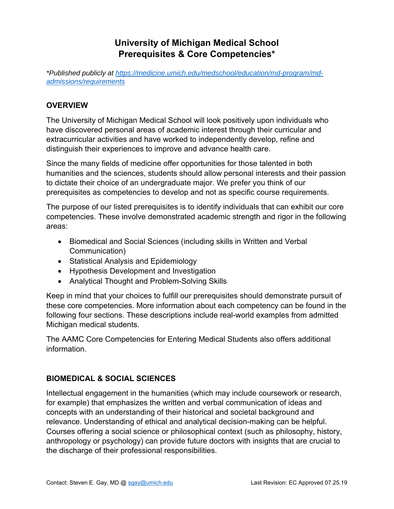# **University of Michigan Medical School Prerequisites & Core Competencies\***

*\*Published publicly at https://medicine.umich.edu/medschool/education/md-program/mdadmissions/requirements*

## **OVERVIEW**

The University of Michigan Medical School will look positively upon individuals who have discovered personal areas of academic interest through their curricular and extracurricular activities and have worked to independently develop, refine and distinguish their experiences to improve and advance health care.

Since the many fields of medicine offer opportunities for those talented in both humanities and the sciences, students should allow personal interests and their passion to dictate their choice of an undergraduate major. We prefer you think of our prerequisites as competencies to develop and not as specific course requirements.

The purpose of our listed prerequisites is to identify individuals that can exhibit our core competencies. These involve demonstrated academic strength and rigor in the following areas:

- Biomedical and Social Sciences (including skills in Written and Verbal Communication)
- Statistical Analysis and Epidemiology
- Hypothesis Development and Investigation
- Analytical Thought and Problem-Solving Skills

Keep in mind that your choices to fulfill our prerequisites should demonstrate pursuit of these core competencies. More information about each competency can be found in the following four sections. These descriptions include real-world examples from admitted Michigan medical students.

The AAMC Core Competencies for Entering Medical Students also offers additional information.

### **BIOMEDICAL & SOCIAL SCIENCES**

Intellectual engagement in the humanities (which may include coursework or research, for example) that emphasizes the written and verbal communication of ideas and concepts with an understanding of their historical and societal background and relevance. Understanding of ethical and analytical decision-making can be helpful. Courses offering a social science or philosophical context (such as philosophy, history, anthropology or psychology) can provide future doctors with insights that are crucial to the discharge of their professional responsibilities.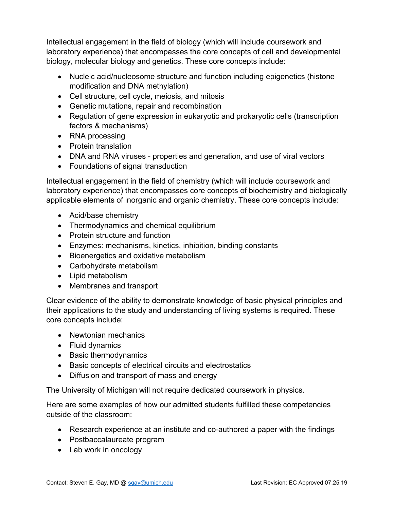Intellectual engagement in the field of biology (which will include coursework and laboratory experience) that encompasses the core concepts of cell and developmental biology, molecular biology and genetics. These core concepts include:

- Nucleic acid/nucleosome structure and function including epigenetics (histone modification and DNA methylation)
- Cell structure, cell cycle, meiosis, and mitosis
- Genetic mutations, repair and recombination
- Regulation of gene expression in eukaryotic and prokaryotic cells (transcription factors & mechanisms)
- RNA processing
- Protein translation
- DNA and RNA viruses properties and generation, and use of viral vectors
- Foundations of signal transduction

Intellectual engagement in the field of chemistry (which will include coursework and laboratory experience) that encompasses core concepts of biochemistry and biologically applicable elements of inorganic and organic chemistry. These core concepts include:

- Acid/base chemistry
- Thermodynamics and chemical equilibrium
- Protein structure and function
- Enzymes: mechanisms, kinetics, inhibition, binding constants
- Bioenergetics and oxidative metabolism
- Carbohydrate metabolism
- Lipid metabolism
- Membranes and transport

Clear evidence of the ability to demonstrate knowledge of basic physical principles and their applications to the study and understanding of living systems is required. These core concepts include:

- Newtonian mechanics
- Fluid dynamics
- Basic thermodynamics
- Basic concepts of electrical circuits and electrostatics
- Diffusion and transport of mass and energy

The University of Michigan will not require dedicated coursework in physics.

Here are some examples of how our admitted students fulfilled these competencies outside of the classroom:

- Research experience at an institute and co-authored a paper with the findings
- Postbaccalaureate program
- Lab work in oncology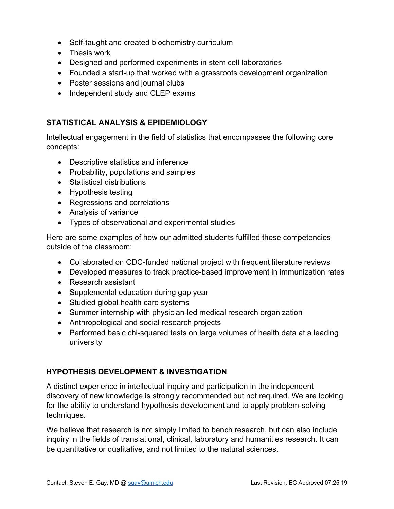- Self-taught and created biochemistry curriculum
- Thesis work
- Designed and performed experiments in stem cell laboratories
- Founded a start-up that worked with a grassroots development organization
- Poster sessions and journal clubs
- Independent study and CLEP exams

#### **STATISTICAL ANALYSIS & EPIDEMIOLOGY**

Intellectual engagement in the field of statistics that encompasses the following core concepts:

- Descriptive statistics and inference
- Probability, populations and samples
- Statistical distributions
- Hypothesis testing
- Regressions and correlations
- Analysis of variance
- Types of observational and experimental studies

Here are some examples of how our admitted students fulfilled these competencies outside of the classroom:

- Collaborated on CDC-funded national project with frequent literature reviews
- Developed measures to track practice-based improvement in immunization rates
- Research assistant
- Supplemental education during gap year
- Studied global health care systems
- Summer internship with physician-led medical research organization
- Anthropological and social research projects
- Performed basic chi-squared tests on large volumes of health data at a leading university

#### **HYPOTHESIS DEVELOPMENT & INVESTIGATION**

A distinct experience in intellectual inquiry and participation in the independent discovery of new knowledge is strongly recommended but not required. We are looking for the ability to understand hypothesis development and to apply problem-solving techniques.

We believe that research is not simply limited to bench research, but can also include inquiry in the fields of translational, clinical, laboratory and humanities research. It can be quantitative or qualitative, and not limited to the natural sciences.